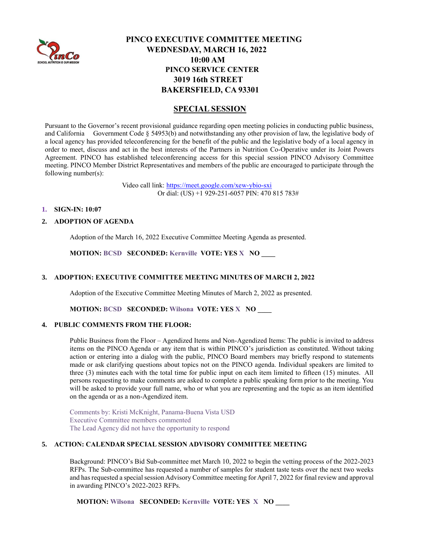

# **PINCO EXECUTIVE COMMITTEE MEETING WEDNESDAY, MARCH 16, 2022 10:00 AM PINCO SERVICE CENTER 3019 16th STREET BAKERSFIELD, CA 93301**

## **SPECIAL SESSION**

Pursuant to the Governor's recent provisional guidance regarding open meeting policies in conducting public business, and California Government Code § 54953(b) and notwithstanding any other provision of law, the legislative body of a local agency has provided teleconferencing for the benefit of the public and the legislative body of a local agency in order to meet, discuss and act in the best interests of the Partners in Nutrition Co-Operative under its Joint Powers Agreement. PINCO has established teleconferencing access for this special session PINCO Advisory Committee meeting. PINCO Member District Representatives and members of the public are encouraged to participate through the following number(s):

> Video call link:<https://meet.google.com/xew-ybio-sxi> Or dial: (US) +1 929-251-6057 PIN: 470 815 783#

### **1. SIGN-IN: 10:07**

### **2. ADOPTION OF AGENDA**

Adoption of the March 16, 2022 Executive Committee Meeting Agenda as presented.

**MOTION: BCSD SECONDED: Kernville VOTE: YES X NO \_\_\_\_**

## **3. ADOPTION: EXECUTIVE COMMITTEE MEETING MINUTES OF MARCH 2, 2022**

Adoption of the Executive Committee Meeting Minutes of March 2, 2022 as presented.

**MOTION: BCSD SECONDED: Wilsona VOTE: YES X NO \_\_\_\_**

#### **4. PUBLIC COMMENTS FROM THE FLOOR:**

Public Business from the Floor – Agendized Items and Non-Agendized Items: The public is invited to address items on the PINCO Agenda or any item that is within PINCO's jurisdiction as constituted. Without taking action or entering into a dialog with the public, PINCO Board members may briefly respond to statements made or ask clarifying questions about topics not on the PINCO agenda. Individual speakers are limited to three (3) minutes each with the total time for public input on each item limited to fifteen (15) minutes. All persons requesting to make comments are asked to complete a public speaking form prior to the meeting. You will be asked to provide your full name, who or what you are representing and the topic as an item identified on the agenda or as a non-Agendized item.

Comments by: Kristi McKnight, Panama-Buena Vista USD Executive Committee members commented The Lead Agency did not have the opportunity to respond

## **5. ACTION: CALENDAR SPECIAL SESSION ADVISORY COMMITTEE MEETING**

Background: PINCO's Bid Sub-committee met March 10, 2022 to begin the vetting process of the 2022-2023 RFPs. The Sub-committee has requested a number of samples for student taste tests over the next two weeks and has requested a special session Advisory Committee meeting for April 7, 2022 for final review and approval in awarding PINCO's 2022-2023 RFPs.

**MOTION: Wilsona SECONDED: Kernville VOTE: YES X NO \_\_\_\_**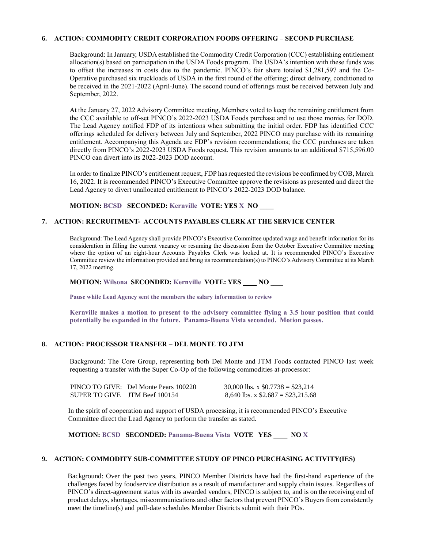#### **6. ACTION: COMMODITY CREDIT CORPORATION FOODS OFFERING – SECOND PURCHASE**

Background: In January, USDA established the Commodity Credit Corporation (CCC) establishing entitlement allocation(s) based on participation in the USDA Foods program. The USDA's intention with these funds was to offset the increases in costs due to the pandemic. PINCO's fair share totaled \$1,281,597 and the Co-Operative purchased six truckloads of USDA in the first round of the offering; direct delivery, conditioned to be received in the 2021-2022 (April-June). The second round of offerings must be received between July and September, 2022.

At the January 27, 2022 Advisory Committee meeting, Members voted to keep the remaining entitlement from the CCC available to off-set PINCO's 2022-2023 USDA Foods purchase and to use those monies for DOD. The Lead Agency notified FDP of its intentions when submitting the initial order. FDP has identified CCC offerings scheduled for delivery between July and September, 2022 PINCO may purchase with its remaining entitlement. Accompanying this Agenda are FDP's revision recommendations; the CCC purchases are taken directly from PINCO's 2022-2023 USDA Foods request. This revision amounts to an additional \$715,596.00 PINCO can divert into its 2022-2023 DOD account.

In order to finalize PINCO's entitlement request, FDP has requested the revisions be confirmed by COB, March 16, 2022. It is recommended PINCO's Executive Committee approve the revisions as presented and direct the Lead Agency to divert unallocated entitlement to PINCO's 2022-2023 DOD balance.

**MOTION: BCSD SECONDED: Kernville VOTE: YES X NO \_\_\_\_**

## **7. ACTION: RECRUITMENT- ACCOUNTS PAYABLES CLERK AT THE SERVICE CENTER**

Background: The Lead Agency shall provide PINCO's Executive Committee updated wage and benefit information for its consideration in filling the current vacancy or resuming the discussion from the October Executive Committee meeting where the option of an eight-hour Accounts Payables Clerk was looked at. It is recommended PINCO's Executive Committee review the information provided and bring its recommendation(s) to PINCO's Advisory Committee at its March 17, 2022 meeting.

#### **MOTION: Wilsona SECONDED: Kernville VOTE: YES \_\_\_\_ NO \_\_\_\_**

**Pause while Lead Agency sent the members the salary information to review**

**Kernville makes a motion to present to the advisory committee flying a 3.5 hour position that could potentially be expanded in the future. Panama-Buena Vista seconded. Motion passes.**

## **8. ACTION: PROCESSOR TRANSFER – DEL MONTE TO JTM**

Background: The Core Group, representing both Del Monte and JTM Foods contacted PINCO last week requesting a transfer with the Super Co-Op of the following commodities at-processor:

|                               | PINCO TO GIVE: Del Monte Pears 100220 | 30,000 lbs. x $$0.7738 = $23,214$  |
|-------------------------------|---------------------------------------|------------------------------------|
| SUPER TO GIVE JTM Beef 100154 |                                       | 8,640 lbs. x $$2.687 = $23,215.68$ |

In the spirit of cooperation and support of USDA processing, it is recommended PINCO's Executive Committee direct the Lead Agency to perform the transfer as stated.

**MOTION: BCSD SECONDED: Panama-Buena Vista VOTE YES \_\_\_\_ NO X** 

#### **9. ACTION: COMMODITY SUB-COMMITTEE STUDY OF PINCO PURCHASING ACTIVITY(IES)**

Background: Over the past two years, PINCO Member Districts have had the first-hand experience of the challenges faced by foodservice distribution as a result of manufacturer and supply chain issues. Regardless of PINCO's direct-agreement status with its awarded vendors, PINCO is subject to, and is on the receiving end of product delays, shortages, miscommunications and other factors that prevent PINCO's Buyers from consistently meet the timeline(s) and pull-date schedules Member Districts submit with their POs.